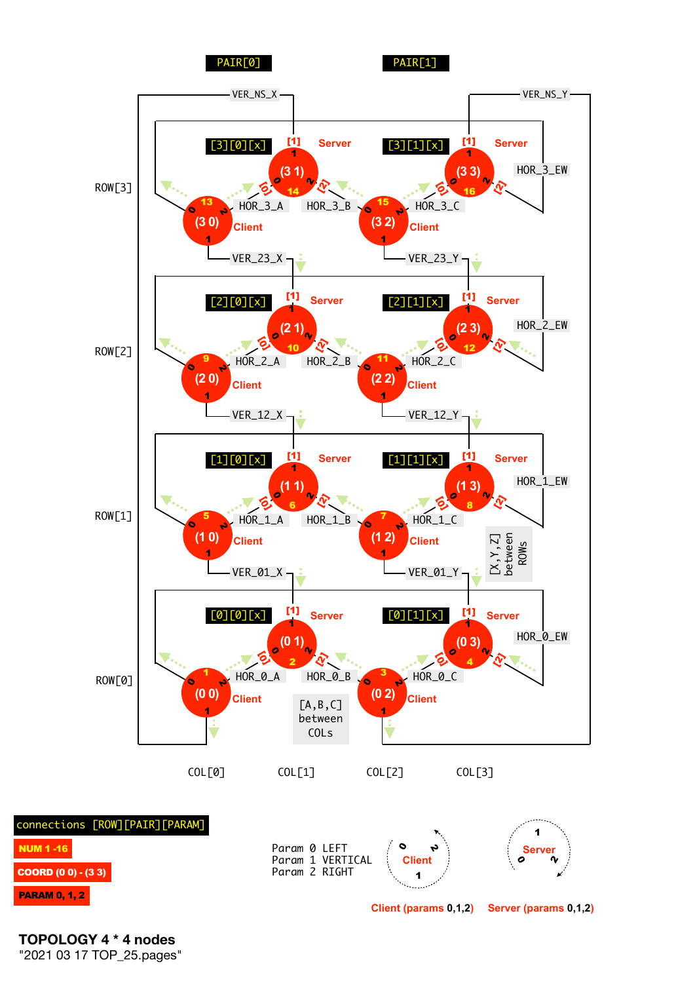

**TOPOLOGY 4 \* 4 nodes**  "2021 03 17 TOP\_25.pages"